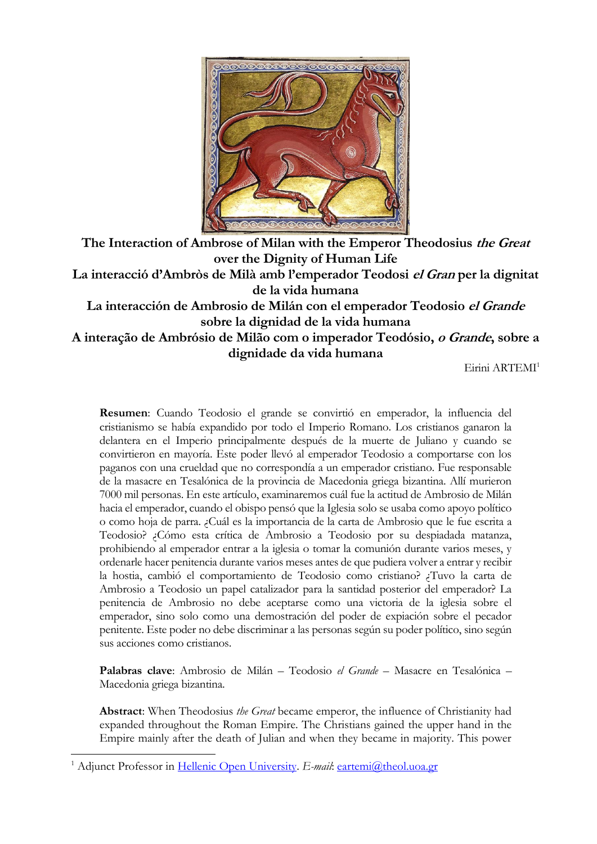

**The Interaction of Ambrose of Milan with the Emperor Theodosius the Great over the Dignity of Human Life La interacció d'Ambròs de Milà amb l'emperador Teodosi el Gran per la dignitat de la vida humana La interacción de Ambrosio de Milán con el emperador Teodosio el Grande sobre la dignidad de la vida humana A interação de Ambrósio de Milão com o imperador Teodósio, o Grande, sobre a dignidade da vida humana**

Eirini ARTEMI<sup>1</sup>

**Resumen**: Cuando Teodosio el grande se convirtió en emperador, la influencia del cristianismo se había expandido por todo el Imperio Romano. Los cristianos ganaron la delantera en el Imperio principalmente después de la muerte de Juliano y cuando se convirtieron en mayoría. Este poder llevó al emperador Teodosio a comportarse con los paganos con una crueldad que no correspondía a un emperador cristiano. Fue responsable de la masacre en Tesalónica de la provincia de Macedonia griega bizantina. Allí murieron 7000 mil personas. En este artículo, examinaremos cuál fue la actitud de Ambrosio de Milán hacia el emperador, cuando el obispo pensó que la Iglesia solo se usaba como apoyo político o como hoja de parra. ¿Cuál es la importancia de la carta de Ambrosio que le fue escrita a Teodosio? ¿Cómo esta crítica de Ambrosio a Teodosio por su despiadada matanza, prohibiendo al emperador entrar a la iglesia o tomar la comunión durante varios meses, y ordenarle hacer penitencia durante varios meses antes de que pudiera volver a entrar y recibir la hostia, cambió el comportamiento de Teodosio como cristiano? ¿Tuvo la carta de Ambrosio a Teodosio un papel catalizador para la santidad posterior del emperador? La penitencia de Ambrosio no debe aceptarse como una victoria de la iglesia sobre el emperador, sino solo como una demostración del poder de expiación sobre el pecador penitente. Este poder no debe discriminar a las personas según su poder político, sino según sus acciones como cristianos.

**Palabras clave**: Ambrosio de Milán – Teodosio *el Grande* – Masacre en Tesalónica – Macedonia griega bizantina.

**Abstract**: When Theodosius *the Great* became emperor, the influence of Christianity had expanded throughout the Roman Empire. The Christians gained the upper hand in the Empire mainly after the death of Julian and when they became in majority. This power

<sup>&</sup>lt;sup>1</sup> Adjunct Professor in [Hellenic Open University.](https://www.eap.gr/) *E-mail: [eartemi@theol.uoa.gr](mailto:eartemi@theol.uoa.gr)*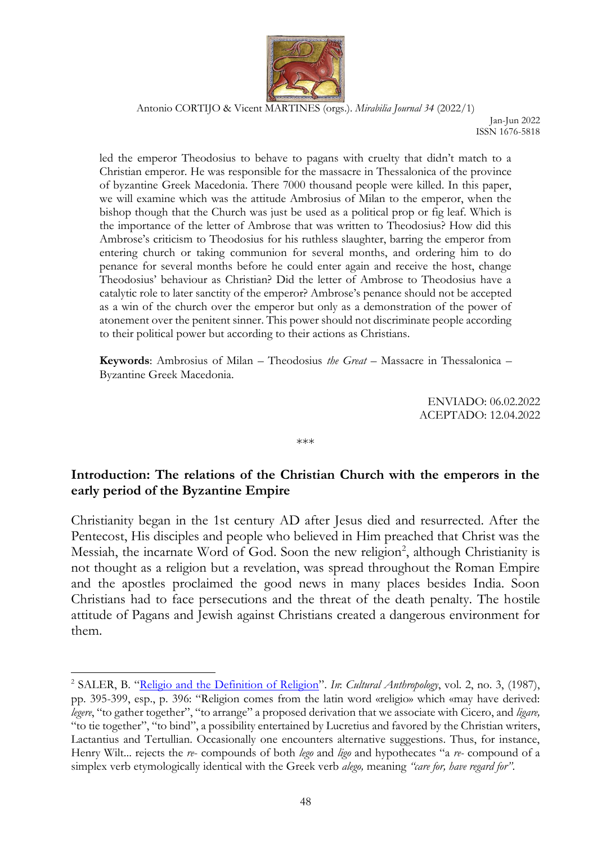

Jan-Jun 2022 ISSN 1676-5818

led the emperor Theodosius to behave to pagans with cruelty that didn't match to a Christian emperor. He was responsible for the massacre in Thessalonica of the province of byzantine Greek Macedonia. There 7000 thousand people were killed. In this paper, we will examine which was the attitude Ambrosius of Milan to the emperor, when the bishop though that the Church was just be used as a political prop or fig leaf. Which is the importance of the letter of Ambrose that was written to Theodosius? How did this Ambrose's criticism to Theodosius for his ruthless slaughter, barring the emperor from entering church or taking communion for several months, and ordering him to do penance for several months before he could enter again and receive the host, change Theodosius' behaviour as Christian? Did the letter of Ambrose to Theodosius have a catalytic role to later sanctity of the emperor? Ambrose's penance should not be accepted as a win of the church over the emperor but only as a demonstration of the power of atonement over the penitent sinner. This power should not discriminate people according to their political power but according to their actions as Christians.

**Keywords**: Ambrosius of Milan – Theodosius *the Great* – Massacre in Thessalonica – Byzantine Greek Macedonia.

> ENVIADO: 06.02.2022 ACEPTADO: 12.04.2022

### **Introduction: The relations of the Christian Church with the emperors in the early period of the Byzantine Empire**

\*\*\*

Christianity began in the 1st century AD after Jesus died and resurrected. After the Pentecost, His disciples and people who believed in Him preached that Christ was the Messiah, the incarnate Word of God. Soon the new religion<sup>2</sup>, although Christianity is not thought as a religion but a revelation, was spread throughout the Roman Empire and the apostles proclaimed the good news in many places besides India. Soon Christians had to face persecutions and the threat of the death penalty. The hostile attitude of Pagans and Jewish against Christians created a dangerous environment for them.

<sup>&</sup>lt;sup>2</sup> SALER, B. "[Religio and the Definition of Religion](http://www.jstor.org/stable/656433)". In: Cultural Anthropology, vol. 2, no. 3, (1987), pp. 395-399, esp., p. 396: "Religion comes from the latin word «religio» which «may have derived: *legere*, "to gather together", "to arrange" a proposed derivation that we associate with Cicero, and *ligare,*  "to tie together", "to bind", a possibility entertained by Lucretius and favored by the Christian writers, Lactantius and Tertullian. Occasionally one encounters alternative suggestions. Thus, for instance, Henry Wilt... rejects the *re*- compounds of both *lego* and *ligo* and hypothecates "a *re-* compound of a simplex verb etymologically identical with the Greek verb *alego,* meaning *"care for, have regard for"*.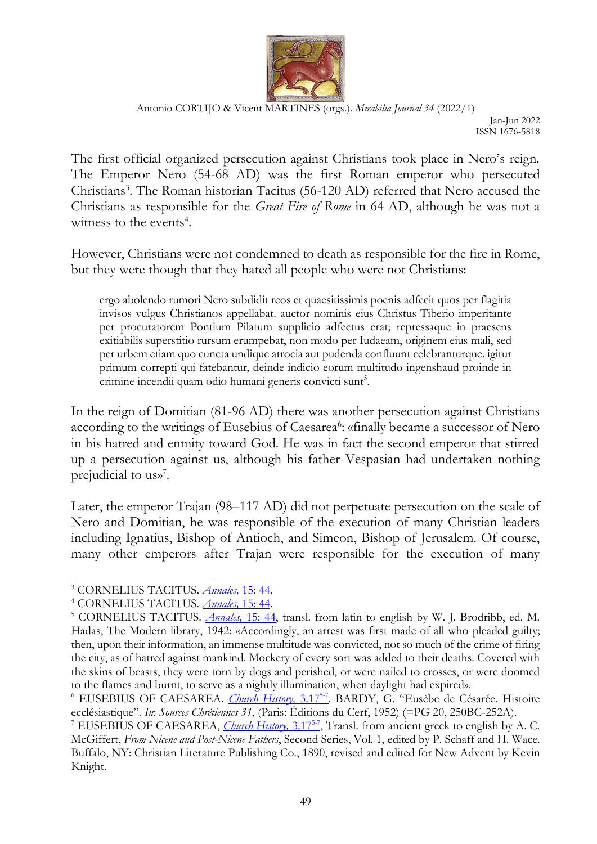

Jan-Jun 2022 ISSN 1676-5818

The first official organized persecution against Christians took place in Nero's reign. The Emperor Nero (54-68 AD) was the first Roman emperor who persecuted Christians<sup>3</sup>. The Roman historian Tacitus (56-120 AD) referred that Nero accused the Christians as responsible for the *Great Fire of Rome* in 64 AD, although he was not a witness to the events<sup>4</sup>.

However, Christians were not condemned to death as responsible for the fire in Rome, but they were though that they hated all people who were not Christians:

ergo abolendo rumori Nero subdidit reos et quaesitissimis poenis adfecit quos per flagitia invisos vulgus Christianos appellabat. auctor nominis eius Christus Tiberio imperitante per procuratorem Pontium Pilatum supplicio adfectus erat; repressaque in praesens exitiabilis superstitio rursum erumpebat, non modo per Iudaeam, originem eius mali, sed per urbem etiam quo cuncta undique atrocia aut pudenda confluunt celebranturque. igitur primum correpti qui fatebantur, deinde indicio eorum multitudo ingenshaud proinde in crimine incendii quam odio humani generis convicti sunt<sup>5</sup>.

In the reign of Domitian (81-96 AD) there was another persecution against Christians according to the writings of Eusebius of Caesarea<sup>6</sup>: «finally became a successor of Nero in his hatred and enmity toward God. He was in fact the second emperor that stirred up a persecution against us, although his father Vespasian had undertaken nothing prejudicial to us»<sup>7</sup>.

Later, the emperor Trajan (98–117 AD) did not perpetuate persecution on the scale of Nero and Domitian, he was responsible of the execution of many Christian leaders including Ignatius, Bishop of Antioch, and Simeon, Bishop of Jerusalem. Of course, many other emperors after Trajan were responsible for the execution of many

<sup>3</sup> CORNELIUS TACITUS. *[Annales,](http://www.perseus.tufts.edu/hopper/text?doc=Tac.+Ann.+15.44&redirect=true)* 15: 44.

<sup>4</sup> CORNELIUS TACITUS. *[Annales,](http://www.perseus.tufts.edu/hopper/text?doc=Tac.+Ann.+15.44&redirect=true)* 15: 44.

<sup>5</sup> CORNELIUS TACITUS. *[Annales,](http://www.perseus.tufts.edu/hopper/text?doc=Tac.+Ann.+15.44&redirect=true)* 15: 44, transl. from latin to english by W. J. Brodribb, ed. M. Hadas, The Modern library, 1942: «Accordingly, an arrest was first made of all who pleaded guilty; then, upon their information, an immense multitude was convicted, not so much of the crime of firing the city, as of hatred against mankind. Mockery of every sort was added to their deaths. Covered with the skins of beasts, they were torn by dogs and perished, or were nailed to crosses, or were doomed to the flames and burnt, to serve as a nightly illumination, when daylight had expired».

<sup>&</sup>lt;sup>6</sup> EUSEBIUS OF CAESAREA. *Church History*, 3.17<sup>5-7</sup>. BARDY, G. "Eusèbe de Césarée. Histoire ecclésiastique". *In*: *Sources Chrétiennes 31*, (Paris: Éditions du Cerf, 1952) (=PG 20, 250BC-252A).

<sup>&</sup>lt;sup>7</sup> EUSEBIUS OF CAESAREA, *Church History*, 3.17<sup>5-7</sup>, Transl. from ancient greek to english by A. C. McGiffert, *From Nicene and Post-Nicene Fathers*, Second Series, Vol. 1, edited by P. Schaff and H. Wace. Buffalo, NY: Christian Literature Publishing Co., 1890, revised and edited for New Advent by Kevin Knight.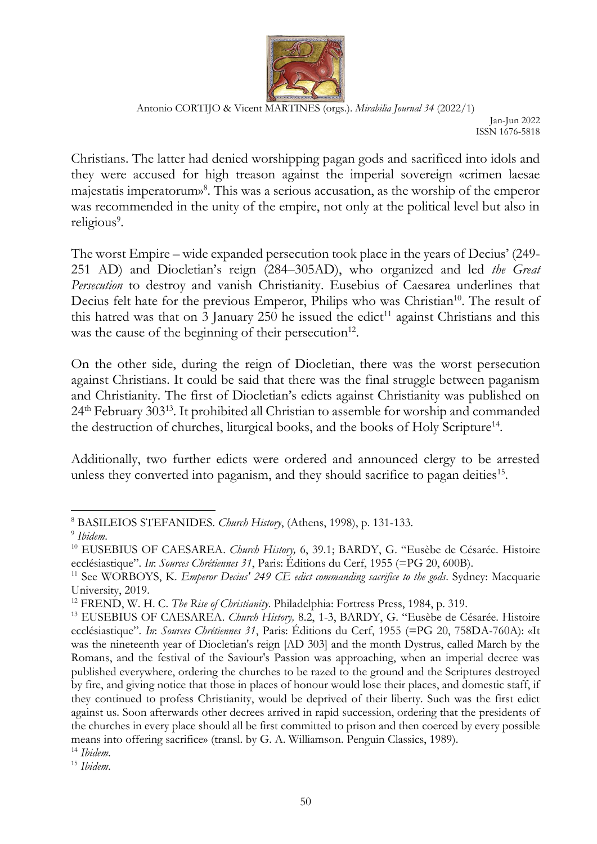

Jan-Jun 2022 ISSN 1676-5818

Christians. The latter had denied worshipping pagan gods and sacrificed into idols and they were accused for high treason against the imperial sovereign «crimen laesae majestatis imperatorum»<sup>8</sup> . This was a serious accusation, as the worship of the emperor was recommended in the unity of the empire, not only at the political level but also in religious<sup>9</sup>.

The worst Empire – wide expanded persecution took place in the years of Decius' (249- 251 AD) and Diocletian's reign (284–305AD), who organized and led *the Great Persecution* to destroy and vanish Christianity. Eusebius of Caesarea underlines that Decius felt hate for the previous Emperor, Philips who was Christian<sup>10</sup>. The result of this hatred was that on 3 January 250 he issued the edict<sup>11</sup> against Christians and this was the cause of the beginning of their persecution<sup>12</sup>.

On the other side, during the reign of Diocletian, there was the worst persecution against Christians. It could be said that there was the final struggle between paganism and Christianity. The first of Diocletian's edicts against Christianity was published on 24th February 303<sup>13</sup>. It prohibited all Christian to assemble for worship and commanded the destruction of churches, liturgical books, and the books of Holy Scripture<sup>14</sup>.

Additionally, two further edicts were ordered and announced clergy to be arrested unless they converted into paganism, and they should sacrifice to pagan deities<sup>15</sup>.

<sup>8</sup> BASILEIOS STEFANIDES*. Church History*, (Athens, 1998), p. 131-133.

<sup>9</sup> *Ibidem*.

<sup>10</sup> EUSEBIUS OF CAESAREA. *Church History,* 6, 39.1; BARDY, G. "Eusèbe de Césarée. Histoire ecclésiastique". *In*: *Sources Chrétiennes 31*, Paris: Éditions du Cerf, 1955 (=PG 20, 600B).

<sup>&</sup>lt;sup>11</sup> See WORBOYS, K. *Emperor Decius' 249 CE edict commanding sacrifice to the gods*. Sydney: Macquarie University, 2019.

<sup>12</sup> FREND, W. H. C. *The Rise of Christianity*. Philadelphia: Fortress Press, 1984, p. 319.

<sup>13</sup> EUSEBIUS OF CAESAREA. *Church History,* 8.2, 1-3, BARDY, G. "Eusèbe de Césarée. Histoire ecclésiastique". *In*: *Sources Chrétiennes 31*, Paris: Éditions du Cerf, 1955 (=PG 20, 758DΑ-760Α): «It was the nineteenth year of Diocletian's reign [AD 303] and the month Dystrus, called March by the Romans, and the festival of the Saviour's Passion was approaching, when an imperial decree was published everywhere, ordering the churches to be razed to the ground and the Scriptures destroyed by fire, and giving notice that those in places of honour would lose their places, and domestic staff, if they continued to profess Christianity, would be deprived of their liberty. Such was the first edict against us. Soon afterwards other decrees arrived in rapid succession, ordering that the presidents of the churches in every place should all be first committed to prison and then coerced by every possible means into offering sacrifice» (transl. by G. A. Williamson. Penguin Classics, 1989).

<sup>14</sup> *Ibidem*.

<sup>15</sup> *Ibidem*.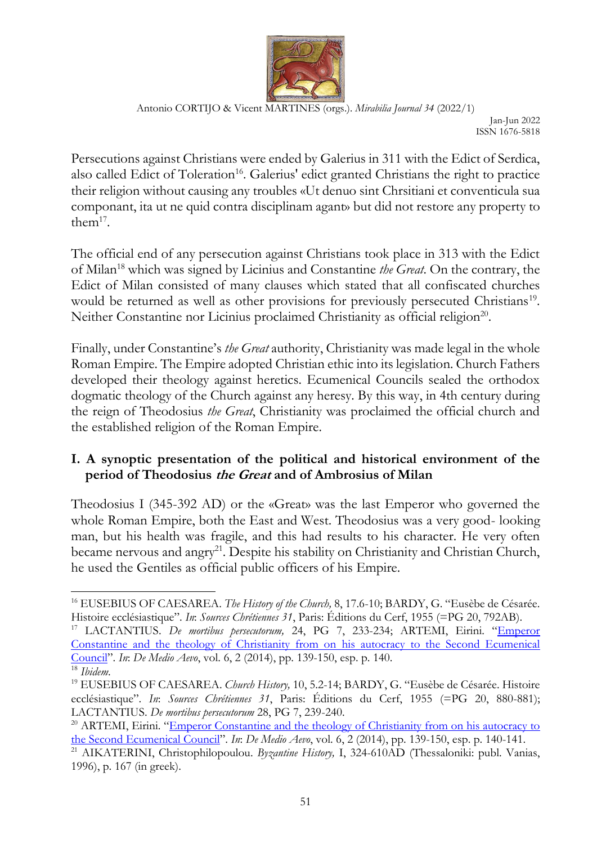

Jan-Jun 2022 ISSN 1676-5818

Persecutions against Christians were ended by Galerius in 311 with the Edict of Serdica, also called Edict of Toleration<sup>16</sup>. Galerius' edict granted Christians the right to practice their religion without causing any troubles «Ut denuo sint Chrsitiani et conventicula sua componant, ita ut ne quid contra disciplinam agant» but did not restore any property to the $m^{17}$ .

The official end of any persecution against Christians took place in 313 with the Edict of Milan<sup>18</sup> which was signed by Licinius and Constantine *the Great*. On the contrary, the Edict of Milan consisted of many clauses which stated that all confiscated churches would be returned as well as other provisions for previously persecuted Christians<sup>19</sup>. Neither Constantine nor Licinius proclaimed Christianity as official religion<sup>20</sup>.

Finally, under Constantine's *the Great* authority, Christianity was made legal in the whole Roman Empire. The Empire adopted Christian ethic into its legislation. Church Fathers developed their theology against heretics. Ecumenical Councils sealed the orthodox dogmatic theology of the Church against any heresy. By this way, in 4th century during the reign of Theodosius *the Great*, Christianity was proclaimed the official church and the established religion of the Roman Empire.

# **I. A synoptic presentation of the political and historical environment of the period of Theodosius the Great and of Ambrosius of Milan**

Theodosius I (345-392 AD) or the «Great» was the last Emperor who governed the whole Roman Empire, both the East and West. Theodosius was a very good- looking man, but his health was fragile, and this had results to his character. He very often became nervous and angry<sup>21</sup>. Despite his stability on Christianity and Christian Church, he used the Gentiles as official public officers of his Empire.

<sup>16</sup> EUSEBIUS OF CAESAREA. *The History of the Church,* 8, 17.6-10; BARDY, G. "Eusèbe de Césarée. Histoire ecclésiastique". *In*: *Sources Chrétiennes 31*, Paris: Éditions du Cerf, 1955 (=PG 20, 792AB).

<sup>&</sup>lt;sup>17</sup> LACTANTIUS. *De mortibus persecutorum*, 24, PG 7, 233-234; ARTEMI, Eirini. "Emperor [Constantine and the theology of Christianity from on](https://revistas.ucm.es/index.php/DMAE/article/view/75737/4564456556892) his autocracy to the Second Ecumenical [Council](https://revistas.ucm.es/index.php/DMAE/article/view/75737/4564456556892)". *In*: *De Medio Aevo*, vol. 6, 2 (2014), pp. 139-150, esp. p. 140.

<sup>18</sup> *Ibidem*.

<sup>19</sup> EUSEBIUS OF CAESAREA. *Church History,* 10, 5.2-14; BARDY, G. "Eusèbe de Césarée. Histoire ecclésiastique". *In*: *Sources Chrétiennes 31*, Paris: Éditions du Cerf, 1955 (=PG 20, 880-881); LACTANTIUS. *De mortibus persecutorum* 28, PG 7, 239-240.

<sup>&</sup>lt;sup>20</sup> ARTEMI, Eirini. "Emperor Constantine and the theology of Christianity from on his autocracy to [the Second Ecumenical Council](https://revistas.ucm.es/index.php/DMAE/article/view/75737/4564456556892)". *In*: *De Medio Aevo*, vol. 6, 2 (2014), pp. 139-150, esp. p. 140-141.

<sup>&</sup>lt;sup>21</sup> AIKATERINI, Christophilopoulou. *Byzantine History*, I, 324-610AD (Thessaloniki: publ. Vanias, 1996), p. 167 (in greek).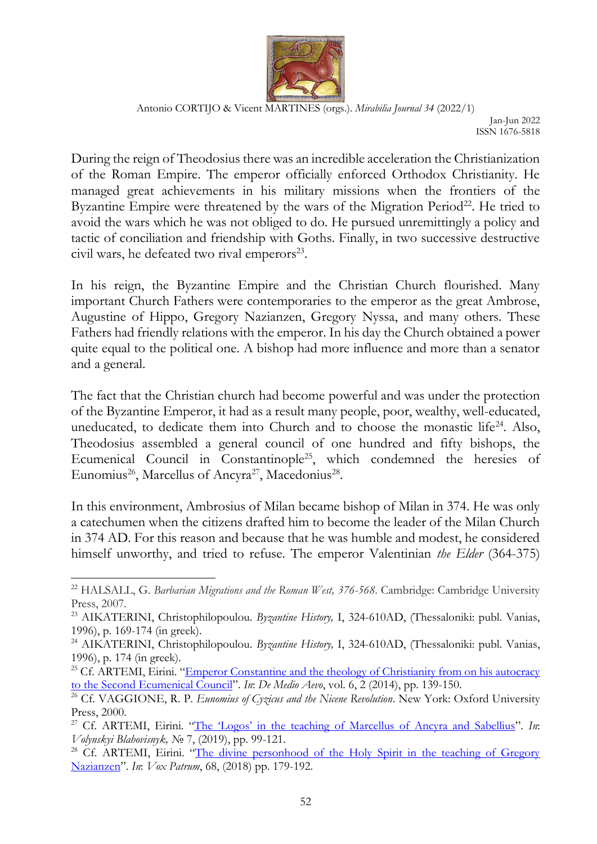

Jan-Jun 2022 ISSN 1676-5818

During the reign of Theodosius there was an incredible acceleration the Christianization of the Roman Empire. The emperor officially enforced Orthodox Christianity. He managed great achievements in his military missions when the frontiers of the Byzantine Empire were threatened by the wars of the Migration Period<sup>22</sup>. He tried to avoid the wars which he was not obliged to do. He pursued unremittingly a policy and tactic of conciliation and friendship with Goths. Finally, in two successive destructive civil wars, he defeated two rival emperors<sup>23</sup>.

In his reign, the Byzantine Empire and the Christian Church flourished. Many important Church Fathers were contemporaries to the emperor as the great Ambrose, Augustine of Hippo, Gregory Nazianzen, Gregory Nyssa, and many others. These Fathers had friendly relations with the emperor. In his day the Church obtained a power quite equal to the political one. A bishop had more influence and more than a senator and a general.

The fact that the Christian church had become powerful and was under the protection of the Byzantine Emperor, it had as a result many people, poor, wealthy, well-educated, uneducated, to dedicate them into Church and to choose the monastic life<sup>24</sup>. Also, Theodosius assembled a general council of one hundred and fifty bishops, the Ecumenical Council in Constantinople<sup>25</sup>, which condemned the heresies of Eunomius<sup>26</sup>, Marcellus of Ancyra<sup>27</sup>, Macedonius<sup>28</sup>.

In this environment, Ambrosius of Milan became bishop of Milan in 374. He was only a catechumen when the citizens drafted him to become the leader of the Milan Church in 374 AD. For this reason and because that he was humble and modest, he considered himself unworthy, and tried to refuse. The emperor Valentinian *the Elder* (364-375)

<sup>&</sup>lt;sup>22</sup> HALSALL, G. *Barbarian Migrations and the Roman West, 376-568*. Cambridge: Cambridge University Press, 2007.

<sup>23</sup> ΑIKATERINI, Christophilopoulou. *Byzantine History,* I, 324-610AD, (Thessaloniki: publ. Vanias, 1996), p. 169-174 (in greek).

<sup>&</sup>lt;sup>24</sup> AIKATERINI, Christophilopoulou. *Byzantine History*, I, 324-610AD, (Thessaloniki: publ. Vanias, 1996), p. 174 (in greek).

<sup>&</sup>lt;sup>25</sup> Cf. ARTEMI, Eirini. "Emperor Constantine and the theology of Christianity from on his autocracy [to the Second Ecumenical Council](https://revistas.ucm.es/index.php/DMAE/article/view/75737/4564456556892)". *In*: *De Medio Aevo*, vol. 6, 2 (2014), pp. 139-150.

<sup>26</sup> Cf. VAGGIONE, R. P. *Eunomius of Cyzicus and the Nicene Revolution*. New York: Oxford University Press, 2000.

<sup>27</sup> Cf. ARTEMI, Eirini. ["Τhe 'Logos' in the teaching of Marcellus of Ancyra and Sabellius"](http://vb.vpba.edu.ua/public/pdf/7_8.pdf). *In*: *Volynskyi Blahovisnyk,* № 7, (2019), pp. 99-121.

<sup>&</sup>lt;sup>28</sup> Cf. ARTEMI, Eirini. "The divine personhood of the Holy Spirit in the teaching of Gregory [Nazianzen](https://czasopisma.kul.pl/vp/article/view/3341)". *In*: *Vox Patrum*, 68, (2018) pp. 179-192.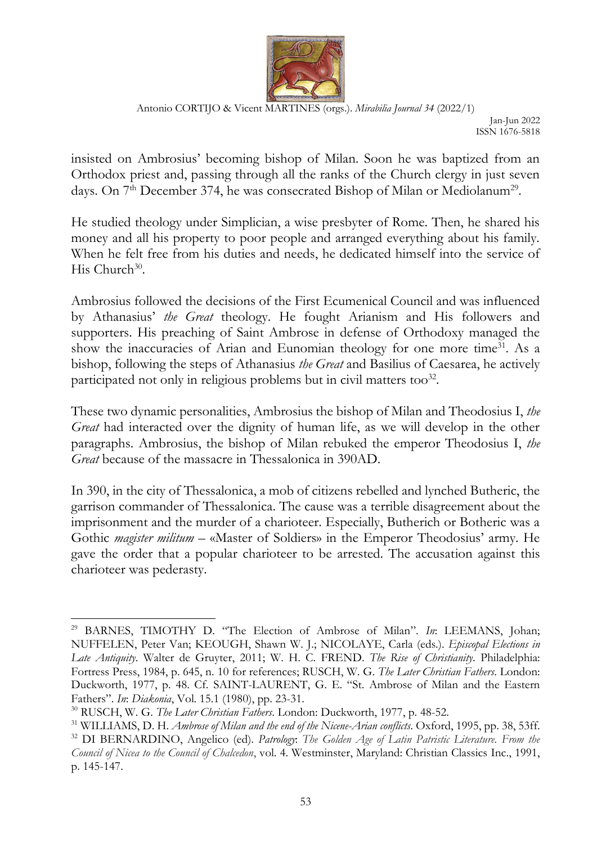

Jan-Jun 2022 ISSN 1676-5818

insisted on Ambrosius' becoming bishop of Milan. Soon he was baptized from an Orthodox priest and, passing through all the ranks of the Church clergy in just seven days. On 7<sup>th</sup> December 374, he was consecrated Bishop of Milan or Mediolanum<sup>29</sup>.

He studied theology under Simplician, a wise presbyter of Rome. Then, he shared his money and all his property to poor people and arranged everything about his family. When he felt free from his duties and needs, he dedicated himself into the service of His Church<sup>30</sup>.

Ambrosius followed the decisions of the First Ecumenical Council and was influenced by Athanasius' *the Great* theology. He fought Arianism and His followers and supporters. His preaching of Saint Ambrose in defense of Orthodoxy managed the show the inaccuracies of Arian and Eunomian theology for one more time<sup>31</sup>. As a bishop, following the steps of Athanasius *the Great* and Basilius of Caesarea, he actively participated not only in religious problems but in civil matters too<sup>32</sup>.

These two dynamic personalities, Ambrosius the bishop of Milan and Theodosius I, *the Great* had interacted over the dignity of human life, as we will develop in the other paragraphs. Ambrosius, the bishop of Milan rebuked the emperor Theodosius I, *the Great* because of the massacre in Thessalonica in 390AD.

In 390, in the city of Thessalonica, a mob of citizens rebelled and lynched Butheric, the garrison commander of Thessalonica. The cause was a terrible disagreement about the imprisonment and the murder of a charioteer. Especially, Butherich or Botheric was a Gothic *magister militum* – «Master of Soldiers» in the Emperor Theodosius' army. He gave the order that a popular charioteer to be arrested. The accusation against this charioteer was pederasty.

<sup>29</sup> BARNES, TIMOTHY D. "The Election of Ambrose of Milan". *In*: LEEMANS, Johan; NUFFELEN, Peter Van; KEOUGH, Shawn W. J.; NICOLAYE, Carla (eds.). *Episcopal Elections in Late Antiquity*. Walter de Gruyter, 2011; W. H. C. FREND. *The Rise of Christianity*. Philadelphia: Fortress Press, 1984, p. 645, n. 10 for references; RUSCH, W. G. *The Later Christian Fathers*. London: Duckworth, 1977, p. 48. Cf. SAINT-LAURENT, G. E. "St. Ambrose of Milan and the Eastern Fathers". *In*: *Diakonia*, Vol. 15.1 (1980), pp. 23-31.

<sup>30</sup> RUSCH, W. G. *The Later Christian Fathers*. London: Duckworth, 1977, p. 48-52.

<sup>31</sup> WILLIAMS, D. H. *Ambrose of Milan and the end of the Nicene-Arian conflicts*. Oxford, 1995, pp. 38, 53ff.

<sup>32</sup> DI BERNARDINO, Angelico (ed). *Patrology*: *The Golden Age of Latin Patristic Literature. From the Council of Nicea to the Council of Chalcedon*, vol. 4. Westminster, Maryland: Christian Classics Inc., 1991, p. 145-147.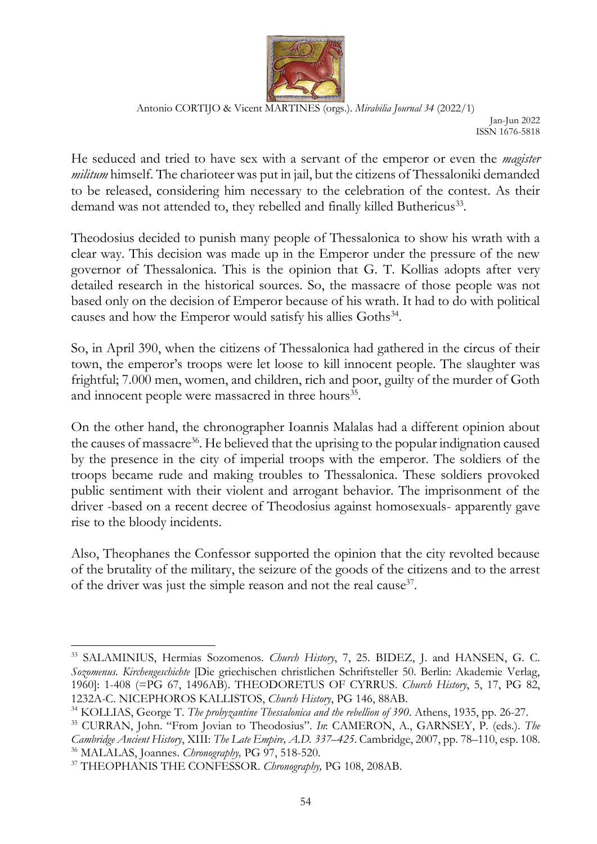

Jan-Jun 2022 ISSN 1676-5818

He seduced and tried to have sex with a servant of the emperor or even the *magister militum* himself. The charioteer was put in jail, but the citizens of Thessaloniki demanded to be released, considering him necessary to the celebration of the contest. As their demand was not attended to, they rebelled and finally killed Buthericus<sup>33</sup>.

Theodosius decided to punish many people of Thessalonica to show his wrath with a clear way. This decision was made up in the Emperor under the pressure of the new governor of Thessalonica. This is the opinion that G. T. Kollias adopts after very detailed research in the historical sources. So, the massacre of those people was not based only on the decision of Emperor because of his wrath. It had to do with political causes and how the Emperor would satisfy his allies Goths<sup>34</sup>.

So, in April 390, when the citizens of Thessalonica had gathered in the circus of their town, the emperor's troops were let loose to kill innocent people. The slaughter was frightful; 7.000 men, women, and children, rich and poor, guilty of the murder of Goth and innocent people were massacred in three hours<sup>35</sup>.

On the other hand, the chronographer Ioannis Malalas had a different opinion about the causes of massacre<sup>36</sup>. He believed that the uprising to the popular indignation caused by the presence in the city of imperial troops with the emperor. The soldiers of the troops became rude and making troubles to Thessalonica. These soldiers provoked public sentiment with their violent and arrogant behavior. The imprisonment of the driver -based on a recent decree of Theodosius against homosexuals- apparently gave rise to the bloody incidents.

Also, Theophanes the Confessor supported the opinion that the city revolted because of the brutality of the military, the seizure of the goods of the citizens and to the arrest of the driver was just the simple reason and not the real cause<sup>37</sup>.

<sup>&</sup>lt;sup>33</sup> SALAMINIUS, Hermias Sozomenos. *Church History*, 7, 25. BIDEZ, J. and HANSEN, G. C. *Sozomenus. Kirchengeschichte* [Die griechischen christlichen Schriftsteller 50. Berlin: Akademie Verlag, 1960]: 1-408 (=PG 67, 1496ΑΒ). THEODORETUS OF CYRRUS. *Church History*, 5, 17, PG 82, 1232A-C. NICEPHOROS KALLISTOS, *Church History*, PG 146, 88AB.

<sup>34</sup> KOLLIAS, George T. *The probyzantine Thessalonica and the rebellion of 390*. Athens, 1935, pp. 26-27.

<sup>35</sup> CURRAN, John. "From Jovian to Theodosius". *In*: CAMERON, A., GARNSEY, P. (eds.). *The Cambridge Ancient History*, XIII: *The Late Empire, A.D. 337–425*. Cambridge, 2007, pp. 78–110, esp. 108. <sup>36</sup> MALALAS, Joannes. *Chronography,* PG 97, 518-520.

<sup>37</sup> THEOPHANIS THE CONFESSOR. *Chronography,* PG 108, 208ΑΒ.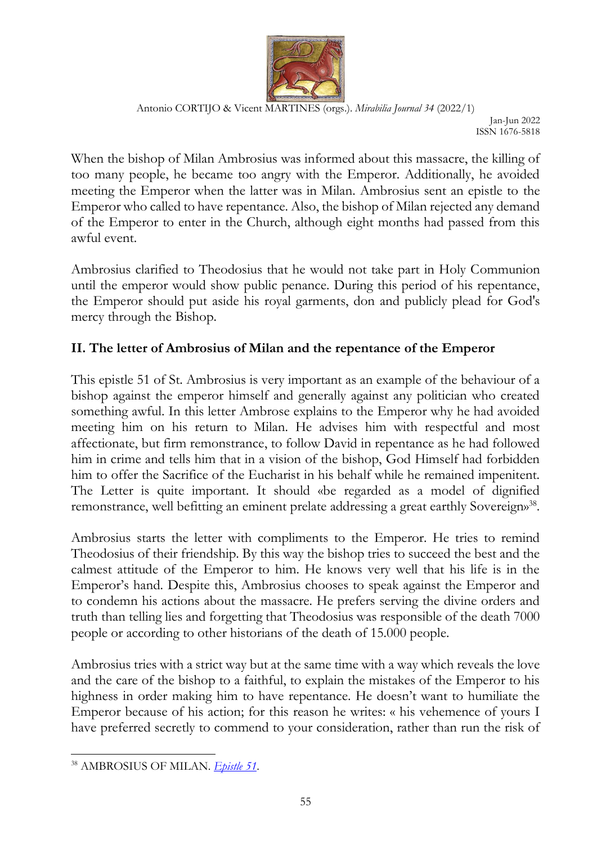

Jan-Jun 2022 ISSN 1676-5818

When the bishop of Milan Ambrosius was informed about this massacre, the killing of too many people, he became too angry with the Emperor. Additionally, he avoided meeting the Emperor when the latter was in Milan. Ambrosius sent an epistle to the Emperor who called to have repentance. Also, the bishop of Milan rejected any demand of the Emperor to enter in the Church, although eight months had passed from this awful event.

Ambrosius clarified to Theodosius that he would not take part in Holy Communion until the emperor would show public penance. During this period of his repentance, the Emperor should put aside his royal garments, don and publicly plead for God's mercy through the Bishop.

# **II. The letter of Ambrosius of Milan and the repentance of the Emperor**

This epistle 51 of St. Ambrosius is very important as an example of the behaviour of a bishop against the emperor himself and generally against any politician who created something awful. In this letter Ambrose explains to the Emperor why he had avoided meeting him on his return to Milan. He advises him with respectful and most affectionate, but firm remonstrance, to follow David in repentance as he had followed him in crime and tells him that in a vision of the bishop, God Himself had forbidden him to offer the Sacrifice of the Eucharist in his behalf while he remained impenitent. The Letter is quite important. It should «be regarded as a model of dignified remonstrance, well befitting an eminent prelate addressing a great earthly Sovereign»<sup>38</sup>.

Ambrosius starts the letter with compliments to the Emperor. He tries to remind Theodosius of their friendship. By this way the bishop tries to succeed the best and the calmest attitude of the Emperor to him. He knows very well that his life is in the Emperor's hand. Despite this, Ambrosius chooses to speak against the Emperor and to condemn his actions about the massacre. He prefers serving the divine orders and truth than telling lies and forgetting that Theodosius was responsible of the death 7000 people or according to other historians of the death of 15.000 people.

Ambrosius tries with a strict way but at the same time with a way which reveals the love and the care of the bishop to a faithful, to explain the mistakes of the Emperor to his highness in order making him to have repentance. He doesn't want to humiliate the Emperor because of his action; for this reason he writes: « his vehemence of yours I have preferred secretly to commend to your consideration, rather than run the risk of

<sup>38</sup> AMBROSIUS OF MILAN. *[Epistle 51](http://www.tertullian.org/fathers/ambrose_letters_06_letters51_60.htm#Letter51)*.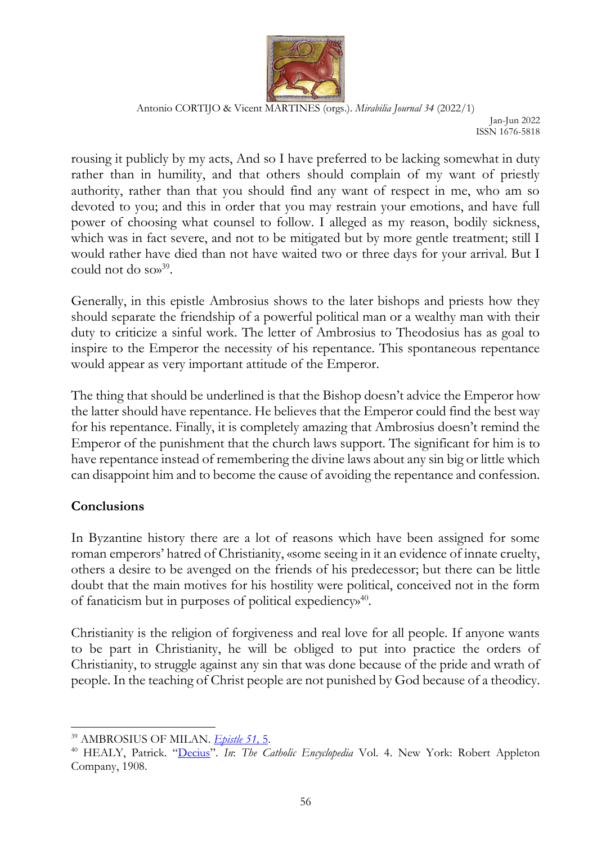

Jan-Jun 2022 ISSN 1676-5818

rousing it publicly by my acts, And so I have preferred to be lacking somewhat in duty rather than in humility, and that others should complain of my want of priestly authority, rather than that you should find any want of respect in me, who am so devoted to you; and this in order that you may restrain your emotions, and have full power of choosing what counsel to follow. I alleged as my reason, bodily sickness, which was in fact severe, and not to be mitigated but by more gentle treatment; still I would rather have died than not have waited two or three days for your arrival. But I could not do so»<sup>39</sup>.

Generally, in this epistle Ambrosius shows to the later bishops and priests how they should separate the friendship of a powerful political man or a wealthy man with their duty to criticize a sinful work. The letter of Ambrosius to Theodosius has as goal to inspire to the Emperor the necessity of his repentance. This spontaneous repentance would appear as very important attitude of the Emperor.

The thing that should be underlined is that the Bishop doesn't advice the Emperor how the latter should have repentance. He believes that the Emperor could find the best way for his repentance. Finally, it is completely amazing that Ambrosius doesn't remind the Emperor of the punishment that the church laws support. The significant for him is to have repentance instead of remembering the divine laws about any sin big or little which can disappoint him and to become the cause of avoiding the repentance and confession.

# **Conclusions**

In Byzantine history there are a lot of reasons which have been assigned for some roman emperors' hatred of Christianity, «some seeing in it an evidence of innate cruelty, others a desire to be avenged on the friends of his predecessor; but there can be little doubt that the main motives for his hostility were political, conceived not in the form of fanaticism but in purposes of political expediency»<sup>40</sup>.

Christianity is the religion of forgiveness and real love for all people. If anyone wants to be part in Christianity, he will be obliged to put into practice the orders of Christianity, to struggle against any sin that was done because of the pride and wrath of people. In the teaching of Christ people are not punished by God because of a theodicy.

<sup>39</sup> AMBROSIUS OF MILAN. *[Epistle 51,](http://www.tertullian.org/fathers/ambrose_letters_06_letters51_60.htm#Letter51)* 5.

<sup>40</sup> HEALY, Patrick. "[Decius](http://www.newadvent.org/cathen/04666a.htm)". *In*: *The Catholic Encyclopedia* Vol. 4. New York: Robert Appleton Company, 1908.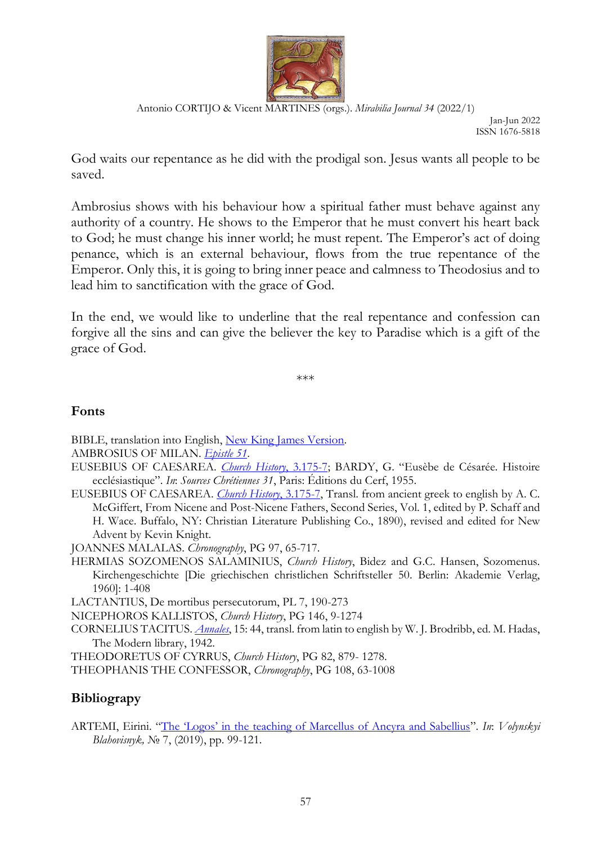

Jan-Jun 2022 ISSN 1676-5818

God waits our repentance as he did with the prodigal son. Jesus wants all people to be saved.

Ambrosius shows with his behaviour how a spiritual father must behave against any authority of a country. He shows to the Emperor that he must convert his heart back to God; he must change his inner world; he must repent. The Emperor's act of doing penance, which is an external behaviour, flows from the true repentance of the Emperor. Only this, it is going to bring inner peace and calmness to Theodosius and to lead him to sanctification with the grace of God.

In the end, we would like to underline that the real repentance and confession can forgive all the sins and can give the believer the key to Paradise which is a gift of the grace of God.

\*\*\*

### **Fonts**

- BIBLE, translation into English, [New King James Version.](https://www.biblegateway.com/versions/New-King-James-Version-NKJV-Bible)
- AMBROSIUS OF MILAN. *[Epistle 51](http://www.tertullian.org/fathers/ambrose_letters_06_letters51_60.htm#Letter51)*.
- EUSEBIUS OF CAESAREA. *[Church History](http://www.newadvent.org/fathers/250103.htm)*, 3.175-7; BARDY, G. "Eusèbe de Césarée. Histoire ecclésiastique". *In*: *Sources Chrétiennes 31*, Paris: Éditions du Cerf, 1955.
- EUSEBIUS OF CAESAREA. *[Church History](http://www.newadvent.org/fathers/250103.htm)*, 3.175-7, Transl. from ancient greek to english by A. C. McGiffert, From Nicene and Post-Nicene Fathers, Second Series, Vol. 1, edited by P. Schaff and H. Wace. Buffalo, NY: Christian Literature Publishing Co., 1890), revised and edited for New Advent by Kevin Knight.

JOANNES MALALAS. *Chronography*, PG 97, 65-717.

HERMIAS SOZOMENOS SALAMINIUS, *Church History*, Bidez and G.C. Hansen, Sozomenus. Kirchengeschichte [Die griechischen christlichen Schriftsteller 50. Berlin: Akademie Verlag, 1960]: 1-408

LACTANTIUS, De mortibus persecutorum, PL 7, 190-273

NICEPHOROS KALLISTOS, *Church History*, PG 146, 9-1274

CORNELIUS TACITUS. *[Annales](http://www.perseus.tufts.edu/hopper/text?doc=Tac.+Ann.+15.44&redirect=true)*, 15: 44, transl. from latin to english by W. J. Brodribb, ed. M. Hadas, The Modern library, 1942.

THEODORETUS OF CYRRUS, *Church History*, PG 82, 879- 1278.

THEOPHANIS THE CONFESSOR, *Chronography*, PG 108, 63-1008

### **Bibliograpy**

ARTEMI, Eirini. ["Τhe 'Logos' in the teaching of Marcellus of Ancyra and Sabellius"](http://vb.vpba.edu.ua/public/pdf/7_8.pdf). *In*: *Volynskyi Blahovisnyk,* № 7, (2019), pp. 99-121.